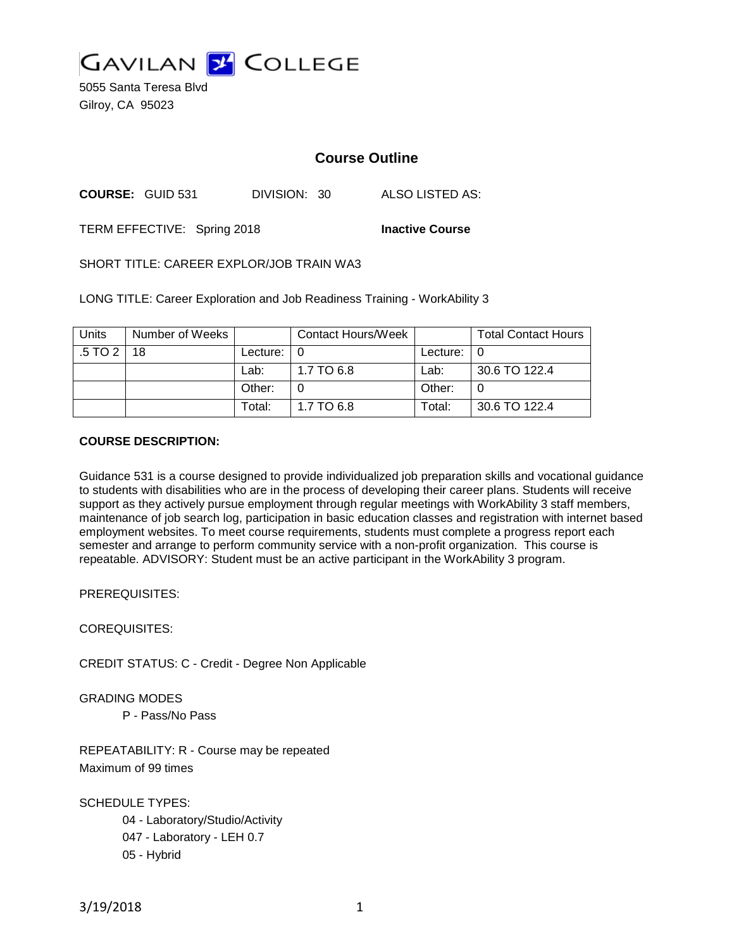

5055 Santa Teresa Blvd Gilroy, CA 95023

# **Course Outline**

**COURSE:** GUID 531 DIVISION: 30 ALSO LISTED AS:

TERM EFFECTIVE: Spring 2018 **Inactive Course**

SHORT TITLE: CAREER EXPLOR/JOB TRAIN WA3

LONG TITLE: Career Exploration and Job Readiness Training - WorkAbility 3

| <b>Units</b> | Number of Weeks |                            | <b>Contact Hours/Week</b> |               | <b>Total Contact Hours</b> |
|--------------|-----------------|----------------------------|---------------------------|---------------|----------------------------|
| .5 TO 2 I    | 18              | Lecture: $\vert 0 \rangle$ |                           | Lecture: $ 0$ |                            |
|              |                 | Lab:                       | 1.7 TO 6.8                | Lab:          | 30.6 TO 122.4              |
|              |                 | Other:                     |                           | Other:        |                            |
|              |                 | Total:                     | 1.7 TO 6.8                | Total:        | 30.6 TO 122.4              |

### **COURSE DESCRIPTION:**

Guidance 531 is a course designed to provide individualized job preparation skills and vocational guidance to students with disabilities who are in the process of developing their career plans. Students will receive support as they actively pursue employment through regular meetings with WorkAbility 3 staff members, maintenance of job search log, participation in basic education classes and registration with internet based employment websites. To meet course requirements, students must complete a progress report each semester and arrange to perform community service with a non-profit organization. This course is repeatable. ADVISORY: Student must be an active participant in the WorkAbility 3 program.

PREREQUISITES:

COREQUISITES:

CREDIT STATUS: C - Credit - Degree Non Applicable

GRADING MODES

P - Pass/No Pass

REPEATABILITY: R - Course may be repeated Maximum of 99 times

SCHEDULE TYPES:

04 - Laboratory/Studio/Activity 047 - Laboratory - LEH 0.7 05 - Hybrid

3/19/2018 1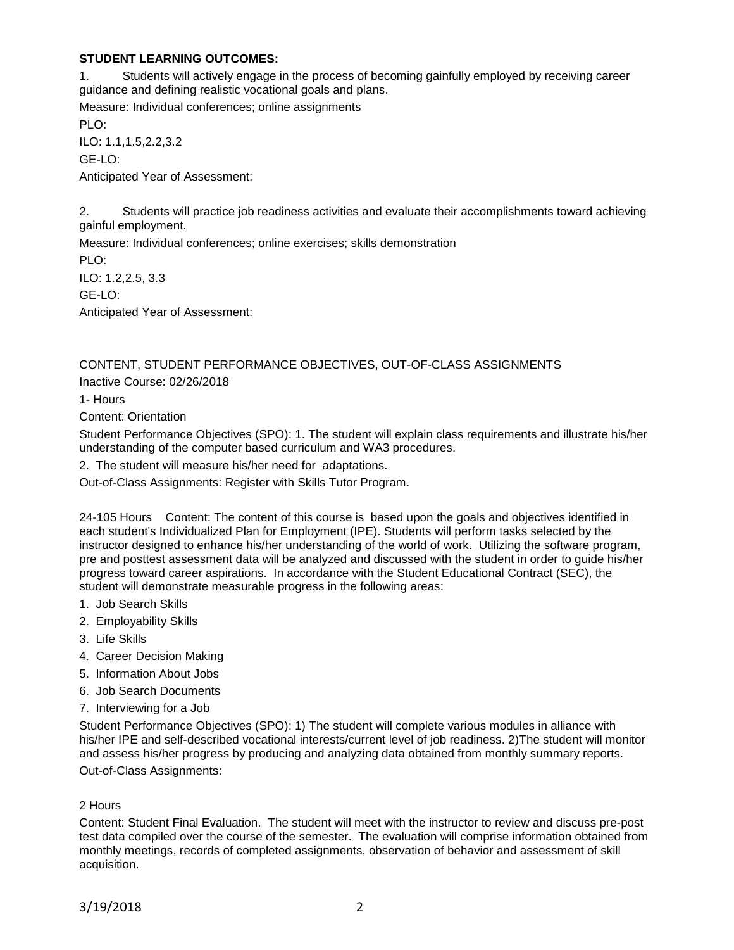## **STUDENT LEARNING OUTCOMES:**

1. Students will actively engage in the process of becoming gainfully employed by receiving career guidance and defining realistic vocational goals and plans.

Measure: Individual conferences; online assignments PLO: ILO: 1.1,1.5,2.2,3.2

GE-LO:

Anticipated Year of Assessment:

2. Students will practice job readiness activities and evaluate their accomplishments toward achieving gainful employment.

Measure: Individual conferences; online exercises; skills demonstration PLO: ILO: 1.2,2.5, 3.3

GE-LO:

Anticipated Year of Assessment:

# CONTENT, STUDENT PERFORMANCE OBJECTIVES, OUT-OF-CLASS ASSIGNMENTS

Inactive Course: 02/26/2018

1- Hours

Content: Orientation

Student Performance Objectives (SPO): 1. The student will explain class requirements and illustrate his/her understanding of the computer based curriculum and WA3 procedures.

2. The student will measure his/her need for adaptations.

Out-of-Class Assignments: Register with Skills Tutor Program.

24-105 Hours Content: The content of this course is based upon the goals and objectives identified in each student's Individualized Plan for Employment (IPE). Students will perform tasks selected by the instructor designed to enhance his/her understanding of the world of work. Utilizing the software program, pre and posttest assessment data will be analyzed and discussed with the student in order to guide his/her progress toward career aspirations. In accordance with the Student Educational Contract (SEC), the student will demonstrate measurable progress in the following areas:

- 1. Job Search Skills
- 2. Employability Skills
- 3. Life Skills
- 4. Career Decision Making
- 5. Information About Jobs
- 6. Job Search Documents
- 7. Interviewing for a Job

Student Performance Objectives (SPO): 1) The student will complete various modules in alliance with his/her IPE and self-described vocational interests/current level of job readiness. 2)The student will monitor and assess his/her progress by producing and analyzing data obtained from monthly summary reports. Out-of-Class Assignments:

#### 2 Hours

Content: Student Final Evaluation. The student will meet with the instructor to review and discuss pre-post test data compiled over the course of the semester. The evaluation will comprise information obtained from monthly meetings, records of completed assignments, observation of behavior and assessment of skill acquisition.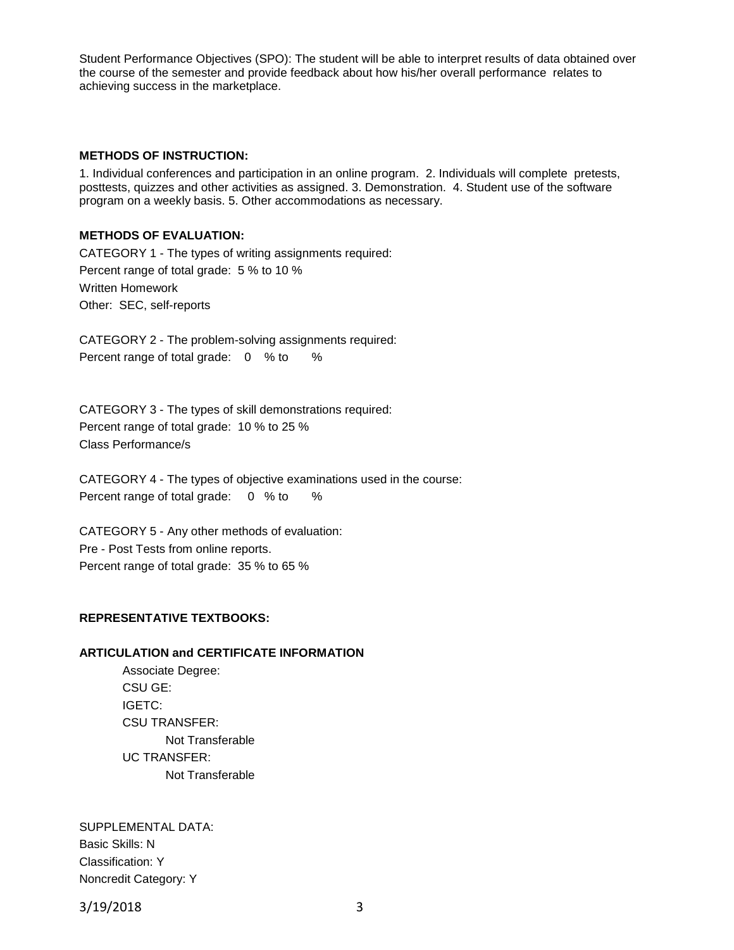Student Performance Objectives (SPO): The student will be able to interpret results of data obtained over the course of the semester and provide feedback about how his/her overall performance relates to achieving success in the marketplace.

#### **METHODS OF INSTRUCTION:**

1. Individual conferences and participation in an online program. 2. Individuals will complete pretests, posttests, quizzes and other activities as assigned. 3. Demonstration. 4. Student use of the software program on a weekly basis. 5. Other accommodations as necessary.

#### **METHODS OF EVALUATION:**

CATEGORY 1 - The types of writing assignments required: Percent range of total grade: 5 % to 10 % Written Homework Other: SEC, self-reports

CATEGORY 2 - The problem-solving assignments required: Percent range of total grade: 0 % to %

CATEGORY 3 - The types of skill demonstrations required: Percent range of total grade: 10 % to 25 % Class Performance/s

CATEGORY 4 - The types of objective examinations used in the course: Percent range of total grade: 0 % to %

CATEGORY 5 - Any other methods of evaluation: Pre - Post Tests from online reports. Percent range of total grade: 35 % to 65 %

#### **REPRESENTATIVE TEXTBOOKS:**

#### **ARTICULATION and CERTIFICATE INFORMATION**

Associate Degree: CSU GE: IGETC: CSU TRANSFER: Not Transferable UC TRANSFER: Not Transferable

SUPPLEMENTAL DATA: Basic Skills: N Classification: Y Noncredit Category: Y

3/19/2018 3